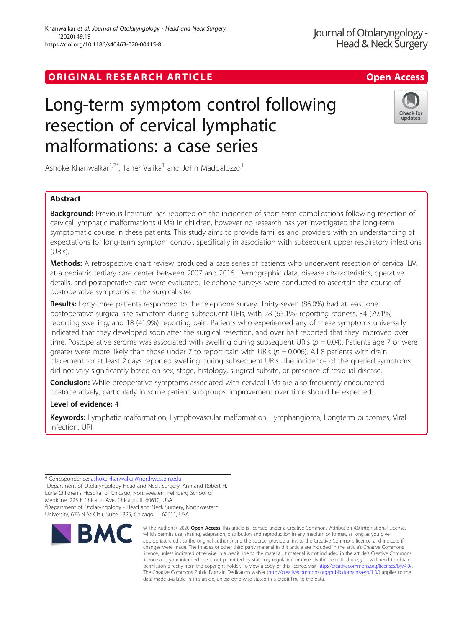# ORIGINAL RESEARCH ARTICLE **CONSIDERING OPEN ACCESS**

## Journal of Otolaryngology -Head & Neck Surgery

# Long-term symptom control following resection of cervical lymphatic malformations: a case series



Ashoke Khanwalkar<sup>1,2\*</sup>, Taher Valika<sup>1</sup> and John Maddalozzo<sup>1</sup>

## Abstract

**Background:** Previous literature has reported on the incidence of short-term complications following resection of cervical lymphatic malformations (LMs) in children, however no research has yet investigated the long-term symptomatic course in these patients. This study aims to provide families and providers with an understanding of expectations for long-term symptom control, specifically in association with subsequent upper respiratory infections (URIs).

Methods: A retrospective chart review produced a case series of patients who underwent resection of cervical LM at a pediatric tertiary care center between 2007 and 2016. Demographic data, disease characteristics, operative details, and postoperative care were evaluated. Telephone surveys were conducted to ascertain the course of postoperative symptoms at the surgical site.

Results: Forty-three patients responded to the telephone survey. Thirty-seven (86.0%) had at least one postoperative surgical site symptom during subsequent URIs, with 28 (65.1%) reporting redness, 34 (79.1%) reporting swelling, and 18 (41.9%) reporting pain. Patients who experienced any of these symptoms universally indicated that they developed soon after the surgical resection, and over half reported that they improved over time. Postoperative seroma was associated with swelling during subsequent URIs ( $p = 0.04$ ). Patients age 7 or were greater were more likely than those under 7 to report pain with URIs ( $p = 0.006$ ). All 8 patients with drain placement for at least 2 days reported swelling during subsequent URIs. The incidence of the queried symptoms did not vary significantly based on sex, stage, histology, surgical subsite, or presence of residual disease.

**Conclusion:** While preoperative symptoms associated with cervical LMs are also frequently encountered postoperatively, particularly in some patient subgroups, improvement over time should be expected.

## Level of evidence: 4

Keywords: Lymphatic malformation, Lymphovascular malformation, Lymphangioma, Longterm outcomes, Viral infection, URI

<sup>2</sup>Department of Otolaryngology - Head and Neck Surgery, Northwestern University, 676 N St Clair, Suite 1325, Chicago, IL 60611, USA



<sup>©</sup> The Author(s), 2020 **Open Access** This article is licensed under a Creative Commons Attribution 4.0 International License, which permits use, sharing, adaptation, distribution and reproduction in any medium or format, as long as you give appropriate credit to the original author(s) and the source, provide a link to the Creative Commons licence, and indicate if changes were made. The images or other third party material in this article are included in the article's Creative Commons licence, unless indicated otherwise in a credit line to the material. If material is not included in the article's Creative Commons licence and your intended use is not permitted by statutory regulation or exceeds the permitted use, you will need to obtain permission directly from the copyright holder. To view a copy of this licence, visit [http://creativecommons.org/licenses/by/4.0/.](http://creativecommons.org/licenses/by/4.0/) The Creative Commons Public Domain Dedication waiver [\(http://creativecommons.org/publicdomain/zero/1.0/](http://creativecommons.org/publicdomain/zero/1.0/)) applies to the data made available in this article, unless otherwise stated in a credit line to the data.

<sup>\*</sup> Correspondence: [ashoke.khanwalkar@northwestern.edu](mailto:ashoke.khanwalkar@northwestern.edu) <sup>1</sup>

<sup>&</sup>lt;sup>1</sup>Department of Otolaryngology Head and Neck Surgery, Ann and Robert H. Lurie Children's Hospital of Chicago, Northwestern Feinberg School of Medicine, 225 E Chicago Ave, Chicago, IL 60610, USA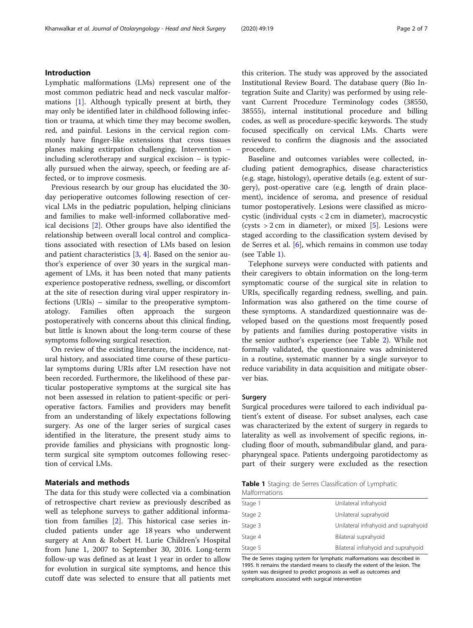## Introduction

Lymphatic malformations (LMs) represent one of the most common pediatric head and neck vascular malformations [\[1\]](#page-5-0). Although typically present at birth, they may only be identified later in childhood following infection or trauma, at which time they may become swollen, red, and painful. Lesions in the cervical region commonly have finger-like extensions that cross tissues planes making extirpation challenging. Intervention – including sclerotherapy and surgical excision – is typically pursued when the airway, speech, or feeding are affected, or to improve cosmesis.

Previous research by our group has elucidated the 30 day perioperative outcomes following resection of cervical LMs in the pediatric population, helping clinicians and families to make well-informed collaborative medical decisions [[2\]](#page-6-0). Other groups have also identified the relationship between overall local control and complications associated with resection of LMs based on lesion and patient characteristics [\[3](#page-6-0), [4](#page-6-0)]. Based on the senior author's experience of over 30 years in the surgical management of LMs, it has been noted that many patients experience postoperative redness, swelling, or discomfort at the site of resection during viral upper respiratory infections (URIs) – similar to the preoperative symptomatology. Families often approach the surgeon postoperatively with concerns about this clinical finding, but little is known about the long-term course of these symptoms following surgical resection.

On review of the existing literature, the incidence, natural history, and associated time course of these particular symptoms during URIs after LM resection have not been recorded. Furthermore, the likelihood of these particular postoperative symptoms at the surgical site has not been assessed in relation to patient-specific or perioperative factors. Families and providers may benefit from an understanding of likely expectations following surgery. As one of the larger series of surgical cases identified in the literature, the present study aims to provide families and physicians with prognostic longterm surgical site symptom outcomes following resection of cervical LMs.

## Materials and methods

The data for this study were collected via a combination of retrospective chart review as previously described as well as telephone surveys to gather additional information from families [[2](#page-6-0)]. This historical case series included patients under age 18 years who underwent surgery at Ann & Robert H. Lurie Children's Hospital from June 1, 2007 to September 30, 2016. Long-term follow-up was defined as at least 1 year in order to allow for evolution in surgical site symptoms, and hence this cutoff date was selected to ensure that all patients met this criterion. The study was approved by the associated Institutional Review Board. The database query (Bio Integration Suite and Clarity) was performed by using relevant Current Procedure Terminology codes (38550, 38555), internal institutional procedure and billing codes, as well as procedure-specific keywords. The study focused specifically on cervical LMs. Charts were reviewed to confirm the diagnosis and the associated procedure.

Baseline and outcomes variables were collected, including patient demographics, disease characteristics (e.g. stage, histology), operative details (e.g. extent of surgery), post-operative care (e.g. length of drain placement), incidence of seroma, and presence of residual tumor postoperatively. Lesions were classified as microcystic (individual cysts < 2 cm in diameter), macrocystic (cysts  $> 2$  cm in diameter), or mixed [[5\]](#page-6-0). Lesions were staged according to the classification system devised by de Serres et al. [[6\]](#page-6-0), which remains in common use today (see Table 1).

Telephone surveys were conducted with patients and their caregivers to obtain information on the long-term symptomatic course of the surgical site in relation to URIs, specifically regarding redness, swelling, and pain. Information was also gathered on the time course of these symptoms. A standardized questionnaire was developed based on the questions most frequently posed by patients and families during postoperative visits in the senior author's experience (see Table [2\)](#page-2-0). While not formally validated, the questionnaire was administered in a routine, systematic manner by a single surveyor to reduce variability in data acquisition and mitigate observer bias.

## Surgery

Surgical procedures were tailored to each individual patient's extent of disease. For subset analyses, each case was characterized by the extent of surgery in regards to laterality as well as involvement of specific regions, including floor of mouth, submandibular gland, and parapharyngeal space. Patients undergoing parotidectomy as part of their surgery were excluded as the resection

|               |  | <b>Table 1</b> Staging: de Serres Classification of Lymphatic |  |
|---------------|--|---------------------------------------------------------------|--|
| Malformations |  |                                                               |  |

| Stage 1 | Unilateral infrahyoid                |
|---------|--------------------------------------|
| Stage 2 | Unilateral suprahyoid                |
| Stage 3 | Unilateral infrahyoid and suprahyoid |
| Stage 4 | Bilateral suprahyoid                 |
| Stage 5 | Bilateral infrahyoid and suprahyoid  |

The de Serres staging system for lymphatic malformations was described in 1995. It remains the standard means to classify the extent of the lesion. The system was designed to predict prognosis as well as outcomes and complications associated with surgical intervention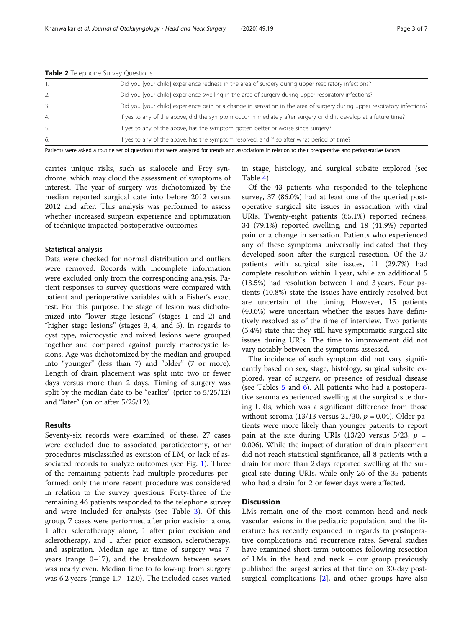|     | Did you [your child] experience redness in the area of surgery during upper respiratory infections?                                                         |
|-----|-------------------------------------------------------------------------------------------------------------------------------------------------------------|
|     | Did you [your child] experience swelling in the area of surgery during upper respiratory infections?                                                        |
|     | Did you [your child] experience pain or a change in sensation in the area of surgery during upper respiratory infections?                                   |
| -4. | If yes to any of the above, did the symptom occur immediately after surgery or did it develop at a future time?                                             |
|     | If yes to any of the above, has the symptom gotten better or worse since surgery?                                                                           |
| 6.  | If yes to any of the above, has the symptom resolved, and if so after what period of time?                                                                  |
|     | Detiants were calced a reuting set of questions that were analyzed for trands and associations in relation to their argonometric and nexionerative factors. |

<span id="page-2-0"></span>Table 2 Telephone Survey Questions

Patients were asked a routine set of questions that were analyzed for trends and associations in relation to their preoperative and perioperative factors

carries unique risks, such as sialocele and Frey syndrome, which may cloud the assessment of symptoms of interest. The year of surgery was dichotomized by the median reported surgical date into before 2012 versus 2012 and after. This analysis was performed to assess whether increased surgeon experience and optimization of technique impacted postoperative outcomes.

## Statistical analysis

Data were checked for normal distribution and outliers were removed. Records with incomplete information were excluded only from the corresponding analysis. Patient responses to survey questions were compared with patient and perioperative variables with a Fisher's exact test. For this purpose, the stage of lesion was dichotomized into "lower stage lesions" (stages 1 and 2) and "higher stage lesions" (stages 3, 4, and 5). In regards to cyst type, microcystic and mixed lesions were grouped together and compared against purely macrocystic lesions. Age was dichotomized by the median and grouped into "younger" (less than 7) and "older" (7 or more). Length of drain placement was split into two or fewer days versus more than 2 days. Timing of surgery was split by the median date to be "earlier" (prior to 5/25/12) and "later" (on or after 5/25/12).

## Results

Seventy-six records were examined; of these, 27 cases were excluded due to associated parotidectomy, other procedures misclassified as excision of LM, or lack of associated records to analyze outcomes (see Fig. [1](#page-3-0)). Three of the remaining patients had multiple procedures performed; only the more recent procedure was considered in relation to the survey questions. Forty-three of the remaining 46 patients responded to the telephone survey and were included for analysis (see Table [3](#page-4-0)). Of this group, 7 cases were performed after prior excision alone, 1 after sclerotherapy alone, 1 after prior excision and sclerotherapy, and 1 after prior excision, sclerotherapy, and aspiration. Median age at time of surgery was 7 years (range 0–17), and the breakdown between sexes was nearly even. Median time to follow-up from surgery was 6.2 years (range 1.7–12.0). The included cases varied in stage, histology, and surgical subsite explored (see Table [4\)](#page-4-0).

Of the 43 patients who responded to the telephone survey, 37 (86.0%) had at least one of the queried postoperative surgical site issues in association with viral URIs. Twenty-eight patients (65.1%) reported redness, 34 (79.1%) reported swelling, and 18 (41.9%) reported pain or a change in sensation. Patients who experienced any of these symptoms universally indicated that they developed soon after the surgical resection. Of the 37 patients with surgical site issues, 11 (29.7%) had complete resolution within 1 year, while an additional 5 (13.5%) had resolution between 1 and 3 years. Four patients (10.8%) state the issues have entirely resolved but are uncertain of the timing. However, 15 patients (40.6%) were uncertain whether the issues have definitively resolved as of the time of interview. Two patients (5.4%) state that they still have symptomatic surgical site issues during URIs. The time to improvement did not vary notably between the symptoms assessed.

The incidence of each symptom did not vary significantly based on sex, stage, histology, surgical subsite explored, year of surgery, or presence of residual disease (see Tables [5](#page-4-0) and [6\)](#page-4-0). All patients who had a postoperative seroma experienced swelling at the surgical site during URIs, which was a significant difference from those without seroma (13/13 versus 21/30,  $p = 0.04$ ). Older patients were more likely than younger patients to report pain at the site during URIs (13/20 versus  $5/23$ ,  $p =$ 0.006). While the impact of duration of drain placement did not reach statistical significance, all 8 patients with a drain for more than 2 days reported swelling at the surgical site during URIs, while only 26 of the 35 patients who had a drain for 2 or fewer days were affected.

## **Discussion**

LMs remain one of the most common head and neck vascular lesions in the pediatric population, and the literature has recently expanded in regards to postoperative complications and recurrence rates. Several studies have examined short-term outcomes following resection of LMs in the head and neck – our group previously published the largest series at that time on 30-day postsurgical complications [[2\]](#page-6-0), and other groups have also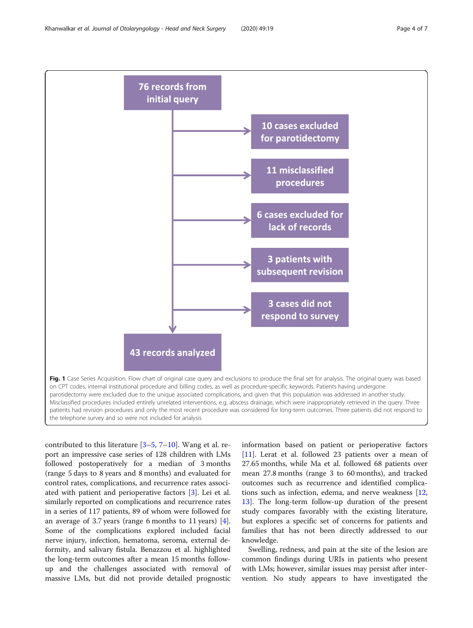<span id="page-3-0"></span>

contributed to this literature [\[3](#page-6-0)–[5](#page-6-0), [7](#page-6-0)–[10\]](#page-6-0). Wang et al. report an impressive case series of 128 children with LMs followed postoperatively for a median of 3 months (range 5 days to 8 years and 8 months) and evaluated for control rates, complications, and recurrence rates associated with patient and perioperative factors [\[3](#page-6-0)]. Lei et al. similarly reported on complications and recurrence rates in a series of 117 patients, 89 of whom were followed for an average of 3.7 years (range 6 months to 11 years) [\[4](#page-6-0)]. Some of the complications explored included facial nerve injury, infection, hematoma, seroma, external deformity, and salivary fistula. Benazzou et al. highlighted the long-term outcomes after a mean 15 months followup and the challenges associated with removal of massive LMs, but did not provide detailed prognostic

information based on patient or perioperative factors [[11\]](#page-6-0). Lerat et al. followed 23 patients over a mean of 27.65 months, while Ma et al. followed 68 patients over mean 27.8 months (range 3 to 60 months), and tracked outcomes such as recurrence and identified complications such as infection, edema, and nerve weakness [[12](#page-6-0), [13\]](#page-6-0). The long-term follow-up duration of the present study compares favorably with the existing literature, but explores a specific set of concerns for patients and families that has not been directly addressed to our knowledge.

Swelling, redness, and pain at the site of the lesion are common findings during URIs in patients who present with LMs; however, similar issues may persist after intervention. No study appears to have investigated the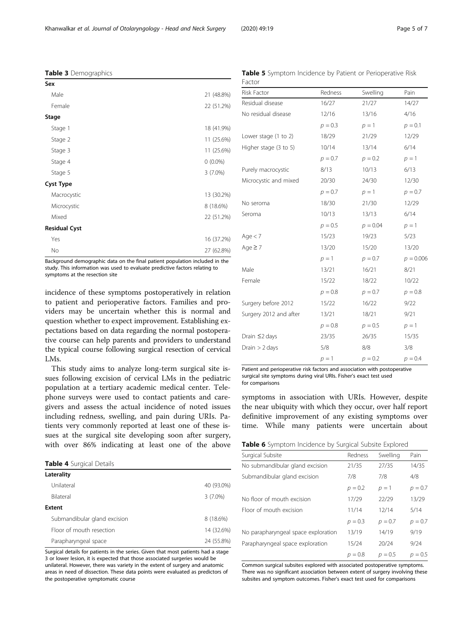Background demographic data on the final patient population included in the study. This information was used to evaluate predictive factors relating to symptoms at the resection site

Yes 16 (37.2%) No 27 (62.8%)

incidence of these symptoms postoperatively in relation to patient and perioperative factors. Families and providers may be uncertain whether this is normal and question whether to expect improvement. Establishing expectations based on data regarding the normal postoperative course can help parents and providers to understand the typical course following surgical resection of cervical LMs.

This study aims to analyze long-term surgical site issues following excision of cervical LMs in the pediatric population at a tertiary academic medical center. Telephone surveys were used to contact patients and caregivers and assess the actual incidence of noted issues including redness, swelling, and pain during URIs. Patients very commonly reported at least one of these issues at the surgical site developing soon after surgery, with over 86% indicating at least one of the above

Table 4 Surgical Details

<span id="page-4-0"></span>Table 3 Demographics

Sex

**Stage** 

Cyst Type

Residual Cyst

| 40 (93.0%) |
|------------|
| $3(7.0\%)$ |
|            |
| 8 (18.6%)  |
| 14 (32.6%) |
| 24 (55.8%) |
|            |

Surgical details for patients in the series. Given that most patients had a stage 3 or lower lesion, it is expected that those associated surgeries would be unilateral. However, there was variety in the extent of surgery and anatomic areas in need of dissection. These data points were evaluated as predictors of the postoperative symptomatic course

Table 5 Symptom Incidence by Patient or Perioperative Risk Factor

| <b>Risk Factor</b>     | Redness   | Swelling   | Pain        |
|------------------------|-----------|------------|-------------|
| Residual disease       | 16/27     | 21/27      | 14/27       |
| No residual disease    | 12/16     | 13/16      | 4/16        |
|                        | $p = 0.3$ | $p=1$      | $p = 0.1$   |
| Lower stage (1 to 2)   | 18/29     | 21/29      | 12/29       |
| Higher stage (3 to 5)  | 10/14     | 13/14      | 6/14        |
|                        | $p = 0.7$ | $p = 0.2$  | $p=1$       |
| Purely macrocystic     | 8/13      | 10/13      | 6/13        |
| Microcystic and mixed  | 20/30     | 24/30      | 12/30       |
|                        | $p = 0.7$ | $p=1$      | $p = 0.7$   |
| No seroma              | 18/30     | 21/30      | 12/29       |
| Seroma                 | 10/13     | 13/13      | 6/14        |
|                        | $p = 0.5$ | $p = 0.04$ | $p = 1$     |
| Age $<$ 7              | 15/23     | 19/23      | 5/23        |
| Age $\geq 7$           | 13/20     | 15/20      | 13/20       |
|                        | $p=1$     | $p = 0.7$  | $p = 0.006$ |
| Male                   | 13/21     | 16/21      | 8/21        |
| Female                 | 15/22     | 18/22      | 10/22       |
|                        | $p = 0.8$ | $p = 0.7$  | $p = 0.8$   |
| Surgery before 2012    | 15/22     | 16/22      | 9/22        |
| Surgery 2012 and after | 13/21     | 18/21      | 9/21        |
|                        | $p = 0.8$ | $p = 0.5$  | $p = 1$     |
| Drain $\leq$ 2 days    | 23/35     | 26/35      | 15/35       |
| Drain $> 2$ days       | 5/8       | 8/8        | 3/8         |
|                        | $p=1$     | $p = 0.2$  | $p = 0.4$   |

Patient and perioperative risk factors and association with postoperative surgical site symptoms during viral URIs. Fisher's exact test used for comparisons

symptoms in association with URIs. However, despite the near ubiquity with which they occur, over half report definitive improvement of any existing symptoms over time. While many patients were uncertain about

| <b>Table 6</b> Symptom Incidence by Surgical Subsite Explored |  |  |  |  |
|---------------------------------------------------------------|--|--|--|--|
|                                                               |  |  |  |  |

| Surgical Subsite                    | Redness   | Swelling  | Pain      |
|-------------------------------------|-----------|-----------|-----------|
| No submandibular gland excision     | 21/35     | 27/35     | 14/35     |
| Submandibular gland excision        | 7/8       | 7/8       | 4/8       |
|                                     | $p = 0.2$ | $p=1$     | $p = 0.7$ |
| No floor of mouth excision          | 17/29     | 22/29     | 13/29     |
| Floor of mouth excision             | 11/14     | 12/14     | 5/14      |
|                                     | $p = 0.3$ | $p = 0.7$ | $p = 0.7$ |
| No parapharyngeal space exploration | 13/19     | 14/19     | 9/19      |
| Parapharyngeal space exploration    | 15/24     | 20/24     | 9/24      |
|                                     | $p = 0.8$ | $p = 0.5$ | $p = 0.5$ |

Common surgical subsites explored with associated postoperative symptoms. There was no significant association between extent of surgery involving these subsites and symptom outcomes. Fisher's exact test used for comparisons

Male 21 (48.8%) Female 22 (51.2%)

Stage 1 18 (41.9%) Stage 2 11 (25.6%) Stage 3 11 (25.6%) Stage 4 0 (0.0%) Stage 5 3 (7.0%)

Macrocystic 20.2%) Microcystic 8 (18.6%) Mixed 22 (51.2%)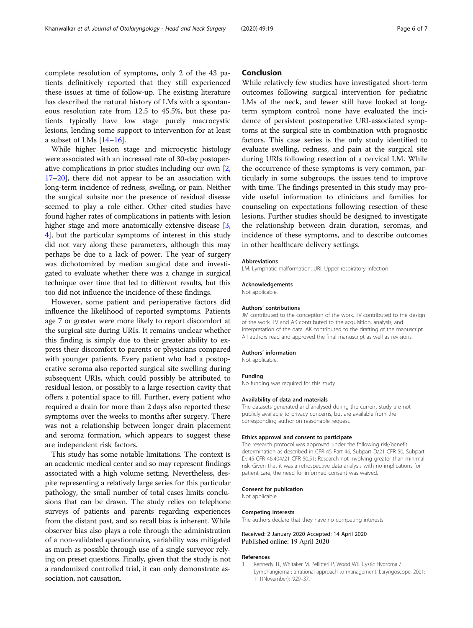<span id="page-5-0"></span>complete resolution of symptoms, only 2 of the 43 patients definitively reported that they still experienced these issues at time of follow-up. The existing literature has described the natural history of LMs with a spontaneous resolution rate from 12.5 to 45.5%, but these patients typically have low stage purely macrocystic lesions, lending some support to intervention for at least a subset of LMs  $[14–16]$  $[14–16]$  $[14–16]$  $[14–16]$ .

While higher lesion stage and microcystic histology were associated with an increased rate of 30-day postoperative complications in prior studies including our own [[2](#page-6-0), [17](#page-6-0)–[20\]](#page-6-0), there did not appear to be an association with long-term incidence of redness, swelling, or pain. Neither the surgical subsite nor the presence of residual disease seemed to play a role either. Other cited studies have found higher rates of complications in patients with lesion higher stage and more anatomically extensive disease [[3](#page-6-0), [4\]](#page-6-0), but the particular symptoms of interest in this study did not vary along these parameters, although this may perhaps be due to a lack of power. The year of surgery was dichotomized by median surgical date and investigated to evaluate whether there was a change in surgical technique over time that led to different results, but this too did not influence the incidence of these findings.

However, some patient and perioperative factors did influence the likelihood of reported symptoms. Patients age 7 or greater were more likely to report discomfort at the surgical site during URIs. It remains unclear whether this finding is simply due to their greater ability to express their discomfort to parents or physicians compared with younger patients. Every patient who had a postoperative seroma also reported surgical site swelling during subsequent URIs, which could possibly be attributed to residual lesion, or possibly to a large resection cavity that offers a potential space to fill. Further, every patient who required a drain for more than 2 days also reported these symptoms over the weeks to months after surgery. There was not a relationship between longer drain placement and seroma formation, which appears to suggest these are independent risk factors.

This study has some notable limitations. The context is an academic medical center and so may represent findings associated with a high volume setting. Nevertheless, despite representing a relatively large series for this particular pathology, the small number of total cases limits conclusions that can be drawn. The study relies on telephone surveys of patients and parents regarding experiences from the distant past, and so recall bias is inherent. While observer bias also plays a role through the administration of a non-validated questionnaire, variability was mitigated as much as possible through use of a single surveyor relying on preset questions. Finally, given that the study is not a randomized controlled trial, it can only demonstrate association, not causation.

## Conclusion

While relatively few studies have investigated short-term outcomes following surgical intervention for pediatric LMs of the neck, and fewer still have looked at longterm symptom control, none have evaluated the incidence of persistent postoperative URI-associated symptoms at the surgical site in combination with prognostic factors. This case series is the only study identified to evaluate swelling, redness, and pain at the surgical site during URIs following resection of a cervical LM. While the occurrence of these symptoms is very common, particularly in some subgroups, the issues tend to improve with time. The findings presented in this study may provide useful information to clinicians and families for counseling on expectations following resection of these lesions. Further studies should be designed to investigate the relationship between drain duration, seromas, and incidence of these symptoms, and to describe outcomes in other healthcare delivery settings.

#### Abbreviations

LM: Lymphatic malformation; URI: Upper respiratory infection

## Acknowledgements

Not applicable.

#### Authors' contributions

JM contributed to the conception of the work. TV contributed to the design of the work. TV and AK contributed to the acquisition, analysis, and interpretation of the data. AK contributed to the drafting of the manuscript. All authors read and approved the final manuscript as well as revisions.

#### Authors' information

Not applicable.

#### Funding

No funding was required for this study.

#### Availability of data and materials

The datasets generated and analysed during the current study are not publicly available to privacy concerns, but are available from the corresponding author on reasonable request.

#### Ethics approval and consent to participate

The research protocol was approved under the following risk/benefit determination as described in CFR 45 Part 46, Subpart D/21 CFR 50, Subpart D: 45 CFR 46.404/21 CFR 50.51: Research not involving greater than minimal risk. Given that it was a retrospective data analysis with no implications for patient care, the need for informed consent was waived.

#### Consent for publication

Not applicable.

### Competing interests

The authors declare that they have no competing interests.

Received: 2 January 2020 Accepted: 14 April 2020 Published online: 19 April 2020

#### References

Kennedy TL, Whitaker M, Pellitteri P, Wood WE. Cystic Hygroma / Lymphangioma : a rational approach to management. Laryngoscope. 2001; 111(November):1929–37.